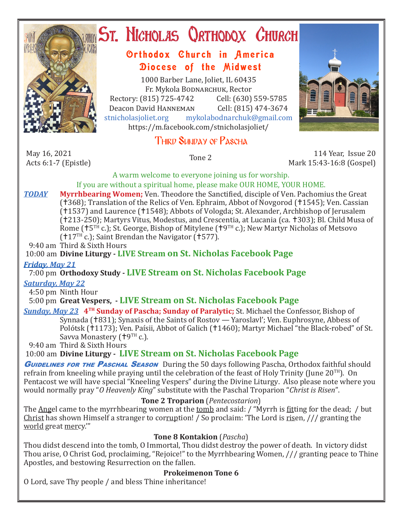

# ST. NICHOLAS QRTHODOX CHURCH

# Orthodox Church in America Diocese of the Midwest

1000 Barber Lane, Joliet, IL 60435 Fr. Mykola Bodnarchuk, Rector Rectory: (815) 725-4742 Cell: (630) 559-5785<br>Deacon David HANNEMAN Cell: (815) 474-3674 Deacon David Hanneman<br>stnicholasioliet.org mvk mykolabodnarchuk@gmail.com https://m.facebook.com/stnicholasjoliet/

# Third Sunday of Pascha



May 16, 2021<br>Acts 6:1-7 (Epistle)

Acts 6:1-7 (Epistle) Tone 2 114 Year, Issue 20 Mark 15:43-16:8 (Gospel)

A warm welcome to everyone joining us for worship. If you are without a spiritual home, please make OUR HOME, YOUR HOME.

*TODAY* **Myrrhbearing Women;** Ven. Theodore the Sanctified, disciple of Ven. Pachomius the Great (†368); Translation of the Relics of Ven. Ephraim, Abbot of Novgorod (†1545); Ven. Cassian (1537) and Laurence (1548); Abbots of Vologda; St. Alexander, Archbishop of Jerusalem (†213-250); Martyrs Vitus, Modestus, and Crescentia, at Lucania (ca. †303); Bl. Child Musa of Rome ( $\uparrow$ 5TH c.); St. George, Bishop of Mitylene ( $\uparrow$ 9TH c.); New Martyr Nicholas of Metsovo  $(17^{TH} c.)$ ; Saint Brendan the Navigator (1577).

9:40 am Third & Sixth Hours

10:00 am **Divine Liturgy - LIVE Stream on St. Nicholas Facebook Page**

#### *Friday, May 21*

7:00 pm **Orthodoxy Study - LIVE Stream on St. Nicholas Facebook Page**

#### *Saturday, May 22*

4:50 pm Ninth Hour

## 5:00 pm **Great Vespers, - LIVE Stream on St. Nicholas Facebook Page**

*Sunday, May 23* **4TH Sunday of Pascha; Sunday of Paralytic;** St. Michael the Confessor, Bishop of  $\overline{\text{Symn}}$  (1831); Synaxis of the Saints of Rostov — Yaroslavl'; Ven. Euphrosyne, Abbess of Polótsk (†1173); Ven. Paísii, Abbot of Galich (†1460); Martyr Michael "the Black-robed" of St. Savva Monastery ( $19<sup>TH</sup>$  c.).

9:40 am Third & Sixth Hours

10:00 am **Divine Liturgy - LIVE Stream on St. Nicholas Facebook Page**

**GUIDELINES FOR THE PASCHAL SEASON** During the 50 days following Pascha, Orthodox faithful should refrain from kneeling while praying until the celebration of the feast of Holy Trinity (June 20<sup>TH</sup>). On Pentacost we will have special "Kneeling Vespers" during the Divine Liturgy. Also please note where you would normally pray "*O Heavenly King*" substitute with the Paschal Troparion "*Christ is Risen*".

## **Tone 2 Troparion** (*Pentecostarion*)

The Angel came to the myrrhbearing women at the tomb and said: / "Myrrh is fitting for the dead; / but Christ has shown Himself a stranger to corruption! / So proclaim: 'The Lord is risen, /// granting the world great mercy.'"

## **Tone 8 Kontakion** (*Pascha*)

Thou didst descend into the tomb, O Immortal, Thou didst destroy the power of death. In victory didst Thou arise, O Christ God, proclaiming, "Rejoice!" to the Myrrhbearing Women, /// granting peace to Thine Apostles, and bestowing Resurrection on the fallen.

## **Prokeimenon Tone 6**

O Lord, save Thy people / and bless Thine inheritance!